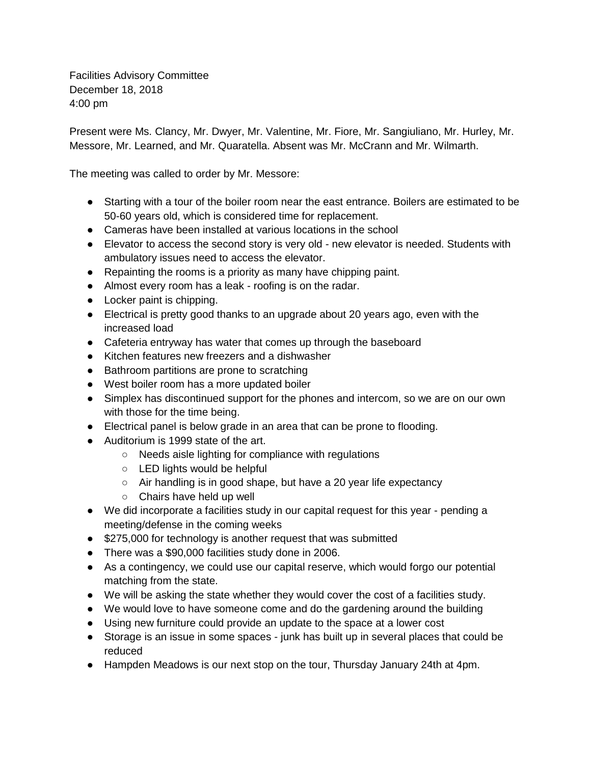Facilities Advisory Committee December 18, 2018 4:00 pm

Present were Ms. Clancy, Mr. Dwyer, Mr. Valentine, Mr. Fiore, Mr. Sangiuliano, Mr. Hurley, Mr. Messore, Mr. Learned, and Mr. Quaratella. Absent was Mr. McCrann and Mr. Wilmarth.

The meeting was called to order by Mr. Messore:

- Starting with a tour of the boiler room near the east entrance. Boilers are estimated to be 50-60 years old, which is considered time for replacement.
- Cameras have been installed at various locations in the school
- Elevator to access the second story is very old new elevator is needed. Students with ambulatory issues need to access the elevator.
- Repainting the rooms is a priority as many have chipping paint.
- Almost every room has a leak roofing is on the radar.
- Locker paint is chipping.
- Electrical is pretty good thanks to an upgrade about 20 years ago, even with the increased load
- Cafeteria entryway has water that comes up through the baseboard
- Kitchen features new freezers and a dishwasher
- Bathroom partitions are prone to scratching
- West boiler room has a more updated boiler
- Simplex has discontinued support for the phones and intercom, so we are on our own with those for the time being.
- Electrical panel is below grade in an area that can be prone to flooding.
- Auditorium is 1999 state of the art.
	- Needs aisle lighting for compliance with regulations
	- LED lights would be helpful
	- Air handling is in good shape, but have a 20 year life expectancy
	- Chairs have held up well
- We did incorporate a facilities study in our capital request for this year pending a meeting/defense in the coming weeks
- \$275,000 for technology is another request that was submitted
- There was a \$90,000 facilities study done in 2006.
- As a contingency, we could use our capital reserve, which would forgo our potential matching from the state.
- We will be asking the state whether they would cover the cost of a facilities study.
- We would love to have someone come and do the gardening around the building
- Using new furniture could provide an update to the space at a lower cost
- Storage is an issue in some spaces junk has built up in several places that could be reduced
- Hampden Meadows is our next stop on the tour, Thursday January 24th at 4pm.